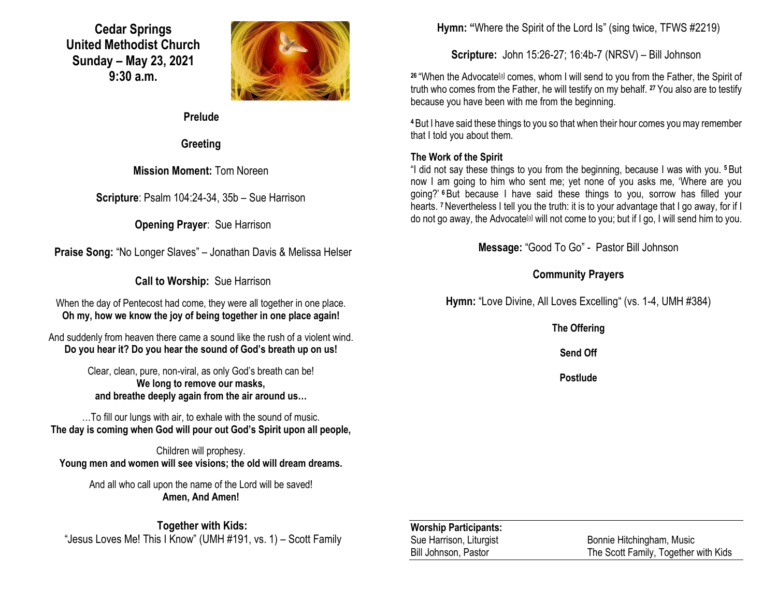**Cedar Springs United Methodist Church Sunday – May 23, 2021 9:30 a.m.**



**Prelude**

**Greeting**

**Mission Moment:** Tom Noreen

**Scripture**: Psalm 104:24-34, 35b – Sue Harrison

**Opening Prayer**: Sue Harrison

**Praise Song:** "No Longer Slaves" – Jonathan Davis & Melissa Helser

**Call to Worship:** Sue Harrison

When the day of Pentecost had come, they were all together in one place. **Oh my, how we know the joy of being together in one place again!**

And suddenly from heaven there came a sound like the rush of a violent wind. **Do you hear it? Do you hear the sound of God's breath up on us!**

> Clear, clean, pure, non-viral, as only God's breath can be! **We long to remove our masks, and breathe deeply again from the air around us…**

…To fill our lungs with air, to exhale with the sound of music. **The day is coming when God will pour out God's Spirit upon all people,**

Children will prophesy. **Young men and women will see visions; the old will dream dreams.**

And all who call upon the name of the Lord will be saved! **Amen, And Amen!**

**Together with Kids:** "Jesus Loves Me! This I Know" (UMH #191, vs. 1) – Scott Family **Hymn: "**Where the Spirit of the Lord Is" (sing twice, TFWS #2219)

**Scripture:** John 15:26-27; 16:4b-7 (NRSV) – Bill Johnson

<sup>26</sup> "When the Advocate<sup>[\[a\]](https://www.biblegateway.com/passage/?search=John+15%3A26-27%3B+16%3A4b-7&version=NRSV#fen-NRSV-26715a)</sup> comes, whom I will send to you from the Father, the Spirit of truth who comes from the Father, he will testify on my behalf. **<sup>27</sup>** You also are to testify because you have been with me from the beginning.

**<sup>4</sup>**But I have said these things to you so that when their hour comes you may remember that I told you about them.

## **The Work of the Spirit**

"I did not say these things to you from the beginning, because I was with you. **<sup>5</sup>**But now I am going to him who sent me; yet none of you asks me, 'Where are you going?' **<sup>6</sup>**But because I have said these things to you, sorrow has filled your hearts. **<sup>7</sup>**Nevertheless I tell you the truth: it is to your advantage that I go away, for if I do not go away, the Advocate<sup>[\[a\]](https://www.biblegateway.com/passage/?search=John+15%3A26-27%3B+16%3A4b-7&version=NRSV#fen-NRSV-26723a)</sup> will not come to you; but if I go, I will send him to you.

**Message:** "Good To Go" - Pastor Bill Johnson

## **Community Prayers**

**Hymn:** "Love Divine, All Loves Excelling" (vs. 1-4, UMH #384)

**The Offering**

**Send Off**

**Postlude**

| <b>Worship Participants:</b> |                                      |
|------------------------------|--------------------------------------|
| Sue Harrison, Liturgist      | Bonnie Hitchingham, Music            |
| Bill Johnson, Pastor         | The Scott Family, Together with Kids |